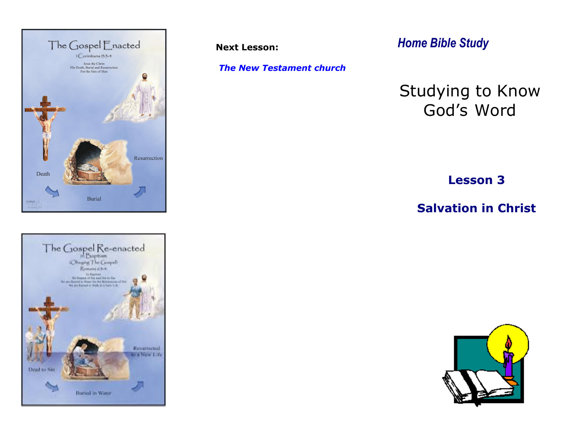



**Next Lesson:** 

*The New Testament church*

*Home Bible Study*

# Studying to Know God's Word

**Lesson 3**

**Salvation in Christ**